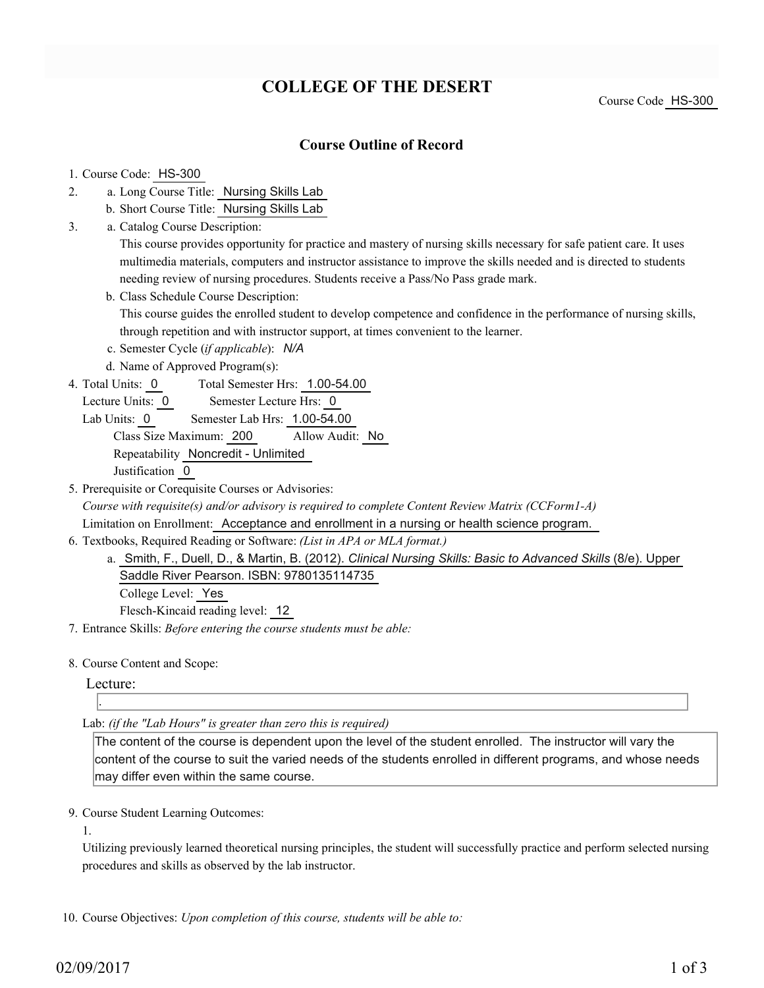# **COLLEGE OF THE DESERT**

### **Course Outline of Record**

#### 1. Course Code: HS-300

- a. Long Course Title: Nursing Skills Lab 2.
	- b. Short Course Title: Nursing Skills Lab
- Catalog Course Description: a. 3.

This course provides opportunity for practice and mastery of nursing skills necessary for safe patient care. It uses multimedia materials, computers and instructor assistance to improve the skills needed and is directed to students needing review of nursing procedures. Students receive a Pass/No Pass grade mark.

b. Class Schedule Course Description:

This course guides the enrolled student to develop competence and confidence in the performance of nursing skills, through repetition and with instructor support, at times convenient to the learner.

c. Semester Cycle (*if applicable*): *N/A*

d. Name of Approved Program(s):

Total Semester Hrs: 1.00-54.00 4. Total Units: 0

Lecture Units: 0 Semester Lecture Hrs: 0

Lab Units: 0 Semester Lab Hrs: 1.00-54.00

Class Size Maximum: 200 Allow Audit: No Repeatability Noncredit - Unlimited

Justification 0

- 5. Prerequisite or Corequisite Courses or Advisories: *Course with requisite(s) and/or advisory is required to complete Content Review Matrix (CCForm1-A)* Limitation on Enrollment: Acceptance and enrollment in a nursing or health science program.
- Textbooks, Required Reading or Software: *(List in APA or MLA format.)* 6.
	- a. Smith, F., Duell, D., & Martin, B. (2012). *Clinical Nursing Skills: Basic to Advanced Skills* (8/e). Upper Saddle River Pearson. ISBN: 9780135114735 College Level: Yes

Flesch-Kincaid reading level: 12

7. Entrance Skills: *Before entering the course students must be able:*

8. Course Content and Scope:

#### Lecture:

.

Lab: *(if the "Lab Hours" is greater than zero this is required)*

The content of the course is dependent upon the level of the student enrolled. The instructor will vary the content of the course to suit the varied needs of the students enrolled in different programs, and whose needs may differ even within the same course.

9. Course Student Learning Outcomes:

1.

Utilizing previously learned theoretical nursing principles, the student will successfully practice and perform selected nursing procedures and skills as observed by the lab instructor.

10. Course Objectives: Upon completion of this course, students will be able to: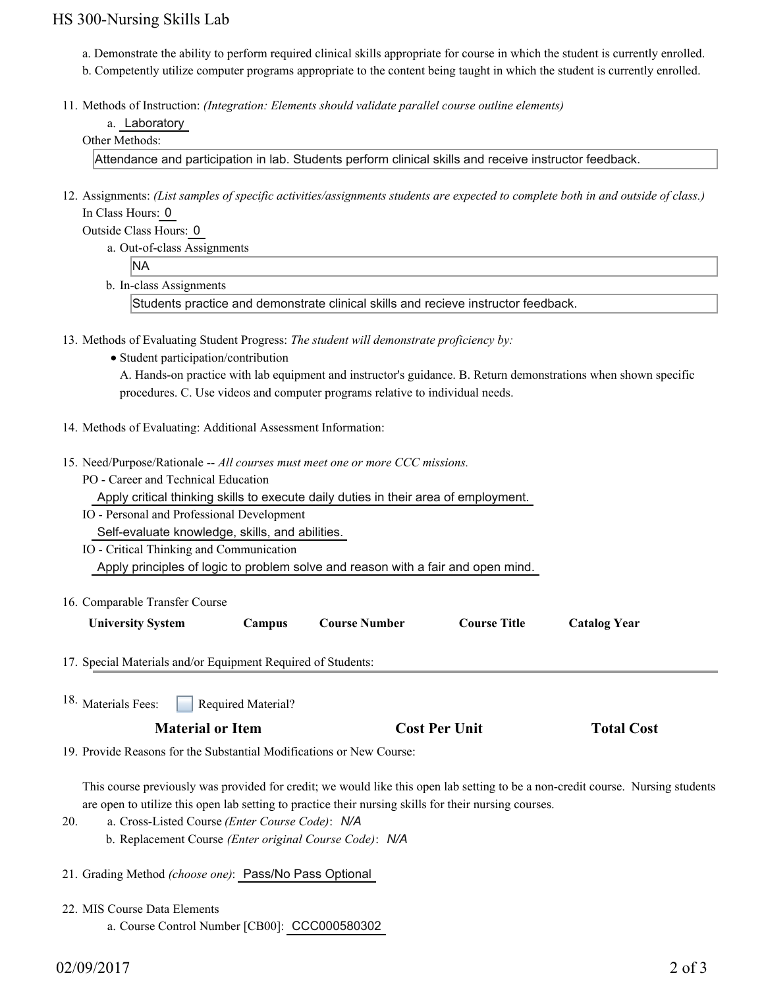### HS 300-Nursing Skills Lab

- a. Demonstrate the ability to perform required clinical skills appropriate for course in which the student is currently enrolled.
- b. Competently utilize computer programs appropriate to the content being taught in which the student is currently enrolled.
- 11. Methods of Instruction: *(Integration: Elements should validate parallel course outline elements)*

```
a. Laboratory
```

| Other Methods: |  |
|----------------|--|
|----------------|--|

Attendance and participation in lab. Students perform clinical skills and receive instructor feedback.

12. Assignments: (List samples of specific activities/assignments students are expected to complete both in and outside of class.) In Class Hours: 0

Outside Class Hours: 0

a. Out-of-class Assignments

NA

- b. In-class Assignments Students practice and demonstrate clinical skills and recieve instructor feedback.
- 13. Methods of Evaluating Student Progress: The student will demonstrate proficiency by:
	- Student participation/contribution

A. Hands-on practice with lab equipment and instructor's guidance. B. Return demonstrations when shown specific procedures. C. Use videos and computer programs relative to individual needs.

- 14. Methods of Evaluating: Additional Assessment Information:
- 15. Need/Purpose/Rationale -- All courses must meet one or more CCC missions.
	- PO Career and Technical Education

Apply critical thinking skills to execute daily duties in their area of employment.

IO - Personal and Professional Development

Self-evaluate knowledge, skills, and abilities.

- IO Critical Thinking and Communication Apply principles of logic to problem solve and reason with a fair and open mind.
- 16. Comparable Transfer Course

| <b>University System</b> |
|--------------------------|
|--------------------------|

**Campus Course Number Course Title Catalog Year** 

17. Special Materials and/or Equipment Required of Students:

Required Material? <sup>18.</sup> Materials Fees:

19. Provide Reasons for the Substantial Modifications or New Course:

This course previously was provided for credit; we would like this open lab setting to be a non-credit course. Nursing students are open to utilize this open lab setting to practice their nursing skills for their nursing courses.

- a. Cross-Listed Course *(Enter Course Code)*: *N/A* b. Replacement Course *(Enter original Course Code)*: *N/A* 20.
- 21. Grading Method *(choose one)*: Pass/No Pass Optional
- MIS Course Data Elements 22.
	- a. Course Control Number [CB00]: CCC000580302